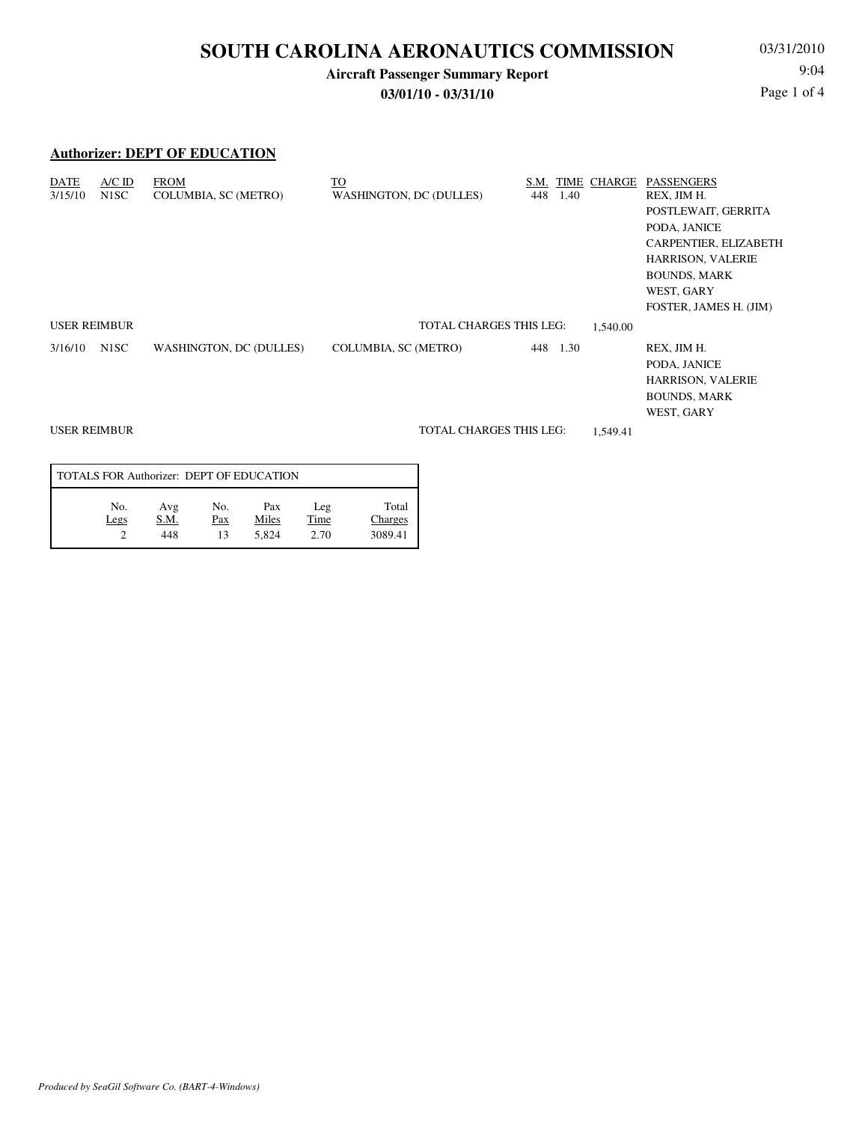## **Aircraft Passenger Summary Report**

**03/01/10 - 03/31/10**

03/31/2010 9:04 Page 1 of 4

### **Authorizer: DEPT OF EDUCATION**

| $A/C$ ID<br>DATE<br>3/15/10<br>N <sub>1</sub> SC | <b>FROM</b><br><b>COLUMBIA, SC (METRO)</b> | TO<br><b>WASHINGTON, DC (DULLES)</b> | S.M.<br>TIME<br>448<br>1.40 | CHARGE   | PASSENGERS<br>REX, JIM H.<br>POSTLEWAIT, GERRITA<br>PODA, JANICE<br>CARPENTIER, ELIZABETH<br><b>HARRISON, VALERIE</b><br><b>BOUNDS, MARK</b><br>WEST, GARY<br>FOSTER, JAMES H. (JIM) |
|--------------------------------------------------|--------------------------------------------|--------------------------------------|-----------------------------|----------|--------------------------------------------------------------------------------------------------------------------------------------------------------------------------------------|
| <b>USER REIMBUR</b>                              |                                            | <b>TOTAL CHARGES THIS LEG:</b>       |                             | 1,540.00 |                                                                                                                                                                                      |
| N1SC<br>3/16/10                                  | WASHINGTON, DC (DULLES)                    | COLUMBIA, SC (METRO)                 | 448 1.30                    |          | REX, JIM H.<br>PODA, JANICE<br><b>HARRISON, VALERIE</b><br><b>BOUNDS, MARK</b><br>WEST, GARY                                                                                         |
| <b>USER REIMBUR</b>                              |                                            | <b>TOTAL CHARGES THIS LEG:</b>       |                             | 1,549.41 |                                                                                                                                                                                      |

| TOTALS FOR Authorizer: DEPT OF EDUCATION |                    |                  |                       |                     |                             |  |  |  |
|------------------------------------------|--------------------|------------------|-----------------------|---------------------|-----------------------------|--|--|--|
| No.<br>Legs                              | Avg<br>S.M.<br>448 | No.<br>Pax<br>13 | Pax<br>Miles<br>5.824 | Leg<br>Time<br>2.70 | Total<br>Charges<br>3089.41 |  |  |  |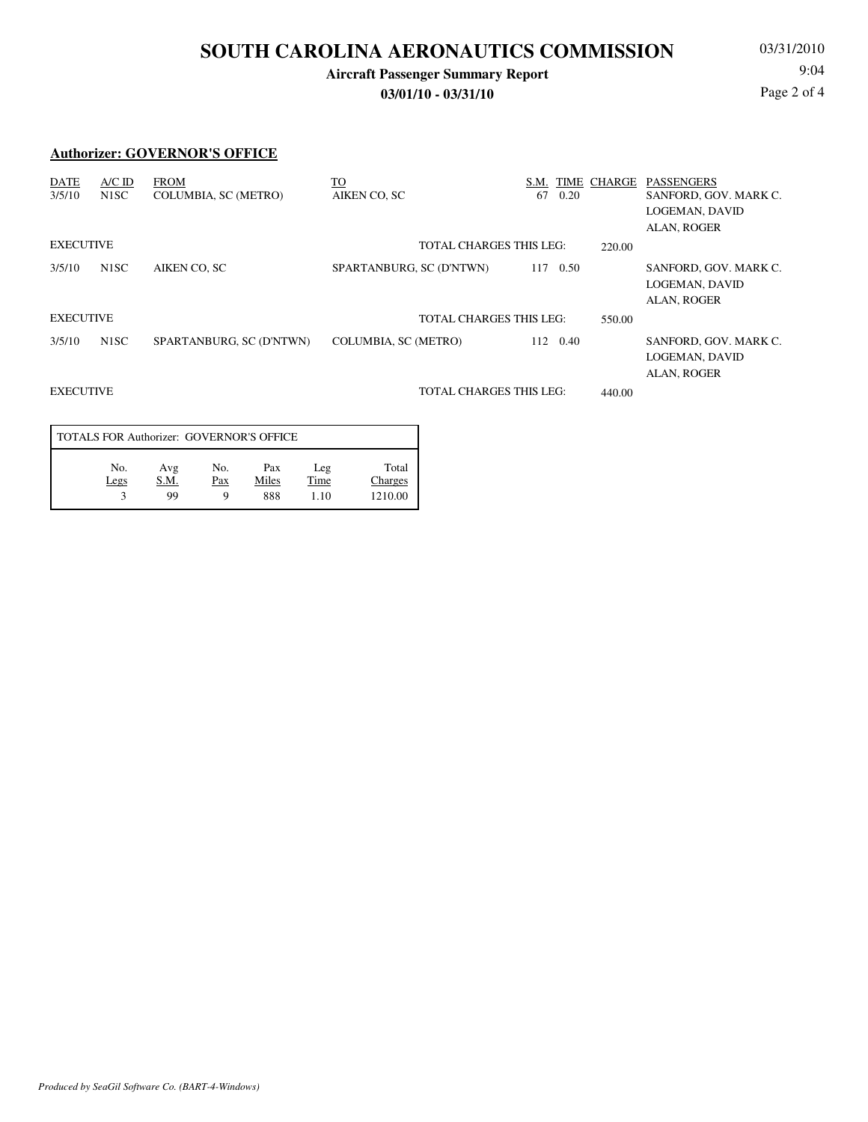## **Aircraft Passenger Summary Report**

**03/01/10 - 03/31/10**

03/31/2010 9:04 Page 2 of 4

#### **Authorizer: GOVERNOR'S OFFICE**

| <b>DATE</b><br>3/5/10 | $A/C$ ID<br>N <sub>1</sub> SC | <b>FROM</b><br>COLUMBIA, SC (METRO) | <u>TO</u><br>AIKEN CO, SC      | S.M.<br>67<br>0.20 | TIME CHARGE | <b>PASSENGERS</b><br>SANFORD, GOV. MARK C.<br>LOGEMAN, DAVID<br>ALAN, ROGER |
|-----------------------|-------------------------------|-------------------------------------|--------------------------------|--------------------|-------------|-----------------------------------------------------------------------------|
| <b>EXECUTIVE</b>      |                               |                                     | TOTAL CHARGES THIS LEG:        |                    | 220.00      |                                                                             |
| 3/5/10                | N <sub>1</sub> SC             | AIKEN CO. SC                        | SPARTANBURG, SC (D'NTWN)       | 117<br>0.50        |             | SANFORD, GOV. MARK C.<br>LOGEMAN, DAVID<br>ALAN, ROGER                      |
| <b>EXECUTIVE</b>      |                               |                                     | <b>TOTAL CHARGES THIS LEG:</b> |                    | 550.00      |                                                                             |
| 3/5/10                | N <sub>1</sub> SC             | SPARTANBURG, SC (D'NTWN)            | <b>COLUMBIA, SC (METRO)</b>    | 112 0.40           |             | SANFORD, GOV. MARK C.<br>LOGEMAN, DAVID<br>ALAN, ROGER                      |
| <b>EXECUTIVE</b>      |                               |                                     | <b>TOTAL CHARGES THIS LEG:</b> |                    | 440.00      |                                                                             |

| TOTALS FOR Authorizer: GOVERNOR'S OFFICE |                   |                 |                     |                     |                             |  |  |  |  |
|------------------------------------------|-------------------|-----------------|---------------------|---------------------|-----------------------------|--|--|--|--|
| No.<br>Legs                              | Avg<br>S.M.<br>99 | No.<br>Pax<br>Q | Pax<br>Miles<br>888 | Leg<br>Time<br>1.10 | Total<br>Charges<br>1210.00 |  |  |  |  |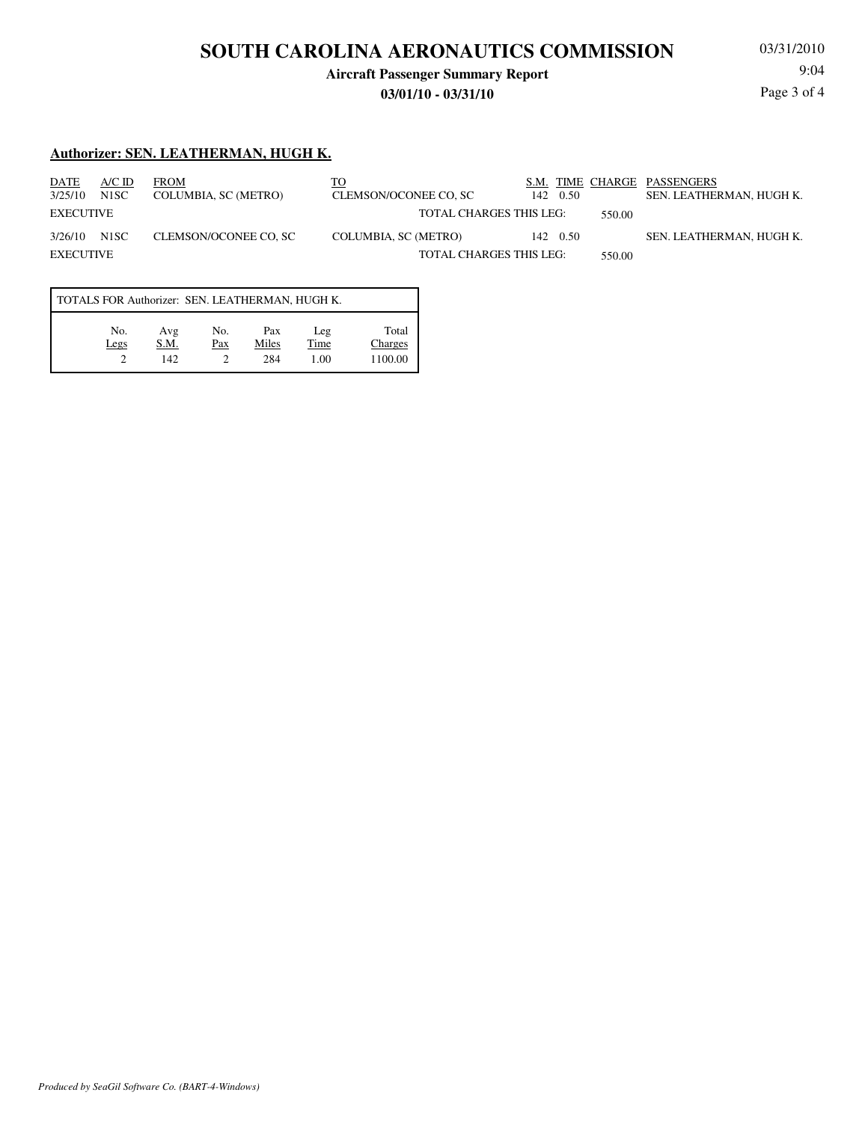## **Aircraft Passenger Summary Report**

#### **03/01/10 - 03/31/10**

03/31/2010 Page 3 of 4

#### **Authorizer: SEN. LEATHERMAN, HUGH K.**

| DATE<br>3/25/10      | $A/C$ ID<br>N1SC | <b>FROM</b><br>COLUMBIA, SC (METRO) | то<br>CLEMSON/OCONEE CO, SC                            | S.M. TIME CHARGE PASSENGERS<br>142 0.50 |        | SEN. LEATHERMAN. HUGH K. |
|----------------------|------------------|-------------------------------------|--------------------------------------------------------|-----------------------------------------|--------|--------------------------|
| EXECUTIVE            |                  |                                     | <b>TOTAL CHARGES THIS LEG:</b>                         |                                         | 550.00 |                          |
| 3/26/10<br>EXECUTIVE | N1SC             | CLEMSON/OCONEE CO, SC               | COLUMBIA, SC (METRO)<br><b>TOTAL CHARGES THIS LEG:</b> | 142 0.50                                | 550.00 | SEN. LEATHERMAN, HUGH K. |
|                      |                  |                                     |                                                        |                                         |        |                          |

| TOTALS FOR Authorizer: SEN. LEATHERMAN, HUGH K. |             |             |            |              |             |                  |  |  |  |
|-------------------------------------------------|-------------|-------------|------------|--------------|-------------|------------------|--|--|--|
|                                                 | No.<br>Legs | Avg<br>S.M. | No.<br>Pax | Pax<br>Miles | Leg<br>Time | Total<br>Charges |  |  |  |
|                                                 |             | 142.        |            | 284          | 1.00        | 1100.00          |  |  |  |

# 9:04